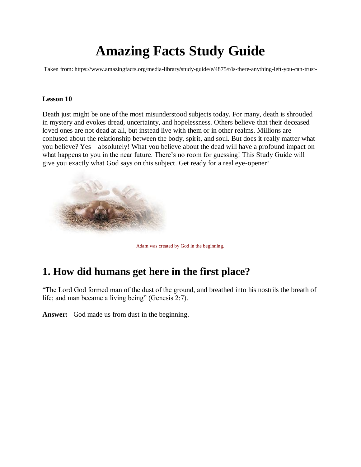# **Amazing Facts Study Guide**

Taken from: https://www.amazingfacts.org/media-library/study-guide/e/4875/t/is-there-anything-left-you-can-trust-

#### **Lesson 10**

Death just might be one of the most misunderstood subjects today. For many, death is shrouded in mystery and evokes dread, uncertainty, and hopelessness. Others believe that their deceased loved ones are not dead at all, but instead live with them or in other realms. Millions are confused about the relationship between the body, spirit, and soul. But does it really matter what you believe? Yes—absolutely! What you believe about the dead will have a profound impact on what happens to you in the near future. There's no room for guessing! This Study Guide will give you exactly what God says on this subject. Get ready for a real eye-opener!



Adam was created by God in the beginning.

# **1. How did humans get here in the first place?**

"The Lord God formed man of the dust of the ground, and breathed into his nostrils the breath of life; and man became a living being" (Genesis 2:7).

**Answer:** God made us from dust in the beginning.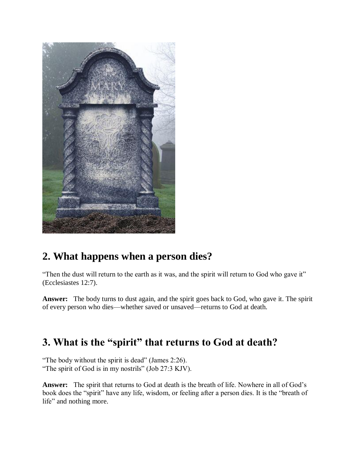

# **2. What happens when a person dies?**

"Then the dust will return to the earth as it was, and the spirit will return to God who gave it" (Ecclesiastes 12:7).

**Answer:** The body turns to dust again, and the spirit goes back to God, who gave it. The spirit of every person who dies—whether saved or unsaved—returns to God at death.

# **3. What is the "spirit" that returns to God at death?**

"The body without the spirit is dead" (James 2:26).

"The spirit of God is in my nostrils" (Job 27:3 KJV).

**Answer:** The spirit that returns to God at death is the breath of life. Nowhere in all of God's book does the "spirit" have any life, wisdom, or feeling after a person dies. It is the "breath of life" and nothing more.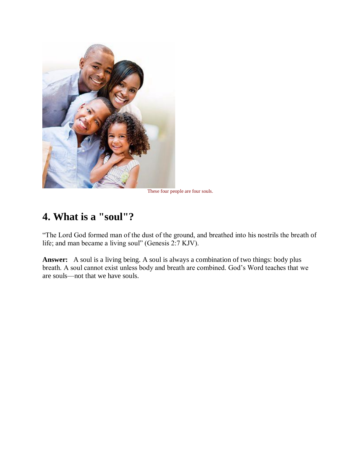

These four people are four souls.

# **4. What is a "soul"?**

"The Lord God formed man of the dust of the ground, and breathed into his nostrils the breath of life; and man became a living soul" (Genesis 2:7 KJV).

**Answer:** A soul is a living being. A soul is always a combination of two things: body plus breath. A soul cannot exist unless body and breath are combined. God's Word teaches that we are souls—not that we have souls.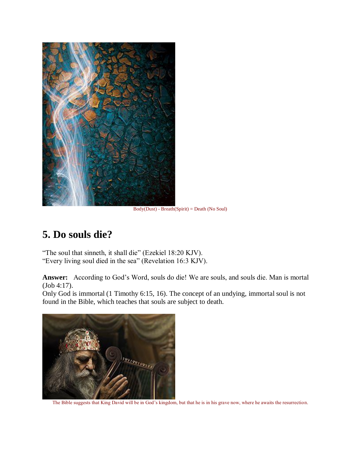

Body(Dust) - Breath(Spirit) = Death (No Soul)

# **5. Do souls die?**

"The soul that sinneth, it shall die" (Ezekiel 18:20 KJV). "Every living soul died in the sea" (Revelation 16:3 KJV).

**Answer:** According to God's Word, souls do die! We are souls, and souls die. Man is mortal (Job 4:17).

Only God is immortal (1 Timothy 6:15, 16). The concept of an undying, immortal soul is not found in the Bible, which teaches that souls are subject to death.



The Bible suggests that King David will be in God's kingdom, but that he is in his grave now, where he awaits the resurrection.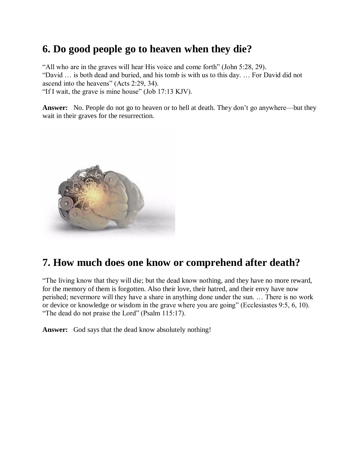# **6. Do good people go to heaven when they die?**

"All who are in the graves will hear His voice and come forth" (John 5:28, 29). "David … is both dead and buried, and his tomb is with us to this day. … For David did not ascend into the heavens" (Acts 2:29, 34). "If I wait, the grave is mine house" (Job 17:13 KJV).

**Answer:** No. People do not go to heaven or to hell at death. They don't go anywhere—but they wait in their graves for the resurrection.



# **7. How much does one know or comprehend after death?**

"The living know that they will die; but the dead know nothing, and they have no more reward, for the memory of them is forgotten. Also their love, their hatred, and their envy have now perished; nevermore will they have a share in anything done under the sun. … There is no work or device or knowledge or wisdom in the grave where you are going" (Ecclesiastes 9:5, 6, 10). "The dead do not praise the Lord" (Psalm 115:17).

**Answer:** God says that the dead know absolutely nothing!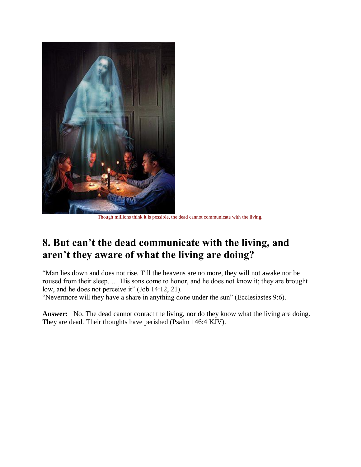

Though millions think it is possible, the dead cannot communicate with the living.

# **8. But can't the dead communicate with the living, and aren't they aware of what the living are doing?**

"Man lies down and does not rise. Till the heavens are no more, they will not awake nor be roused from their sleep. … His sons come to honor, and he does not know it; they are brought low, and he does not perceive it" (Job 14:12, 21).

"Nevermore will they have a share in anything done under the sun" (Ecclesiastes 9:6).

Answer: No. The dead cannot contact the living, nor do they know what the living are doing. They are dead. Their thoughts have perished (Psalm 146:4 KJV).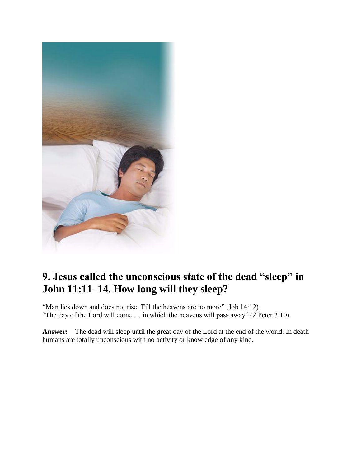

# **9. Jesus called the unconscious state of the dead "sleep" in John 11:11–14. How long will they sleep?**

"Man lies down and does not rise. Till the heavens are no more" (Job 14:12). "The day of the Lord will come … in which the heavens will pass away" (2 Peter 3:10).

**Answer:** The dead will sleep until the great day of the Lord at the end of the world. In death humans are totally unconscious with no activity or knowledge of any kind.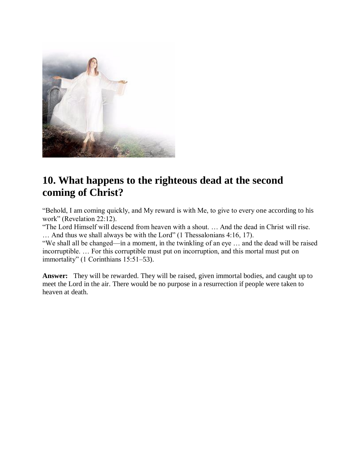

# **10. What happens to the righteous dead at the second coming of Christ?**

"Behold, I am coming quickly, and My reward is with Me, to give to every one according to his work" (Revelation 22:12).

"The Lord Himself will descend from heaven with a shout. … And the dead in Christ will rise. … And thus we shall always be with the Lord" (1 Thessalonians 4:16, 17).

"We shall all be changed—in a moment, in the twinkling of an eye … and the dead will be raised incorruptible. … For this corruptible must put on incorruption, and this mortal must put on immortality" (1 Corinthians 15:51–53).

**Answer:** They will be rewarded. They will be raised, given immortal bodies, and caught up to meet the Lord in the air. There would be no purpose in a resurrection if people were taken to heaven at death.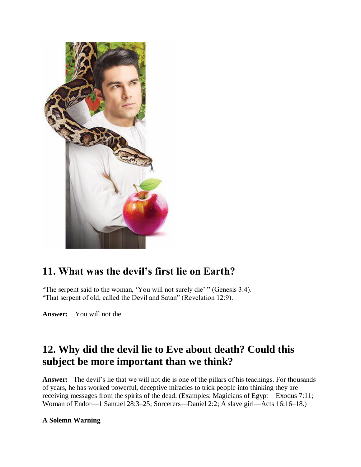

# **11. What was the devil's first lie on Earth?**

"The serpent said to the woman, 'You will not surely die' " (Genesis 3:4). "That serpent of old, called the Devil and Satan" (Revelation 12:9).

**Answer:** You will not die.

# **12. Why did the devil lie to Eve about death? Could this subject be more important than we think?**

**Answer:** The devil's lie that we will not die is one of the pillars of his teachings. For thousands of years, he has worked powerful, deceptive miracles to trick people into thinking they are receiving messages from the spirits of the dead. (Examples: Magicians of Egypt—Exodus 7:11; Woman of Endor—1 Samuel 28:3–25; Sorcerers—Daniel 2:2; A slave girl—Acts 16:16–18.)

### **A Solemn Warning**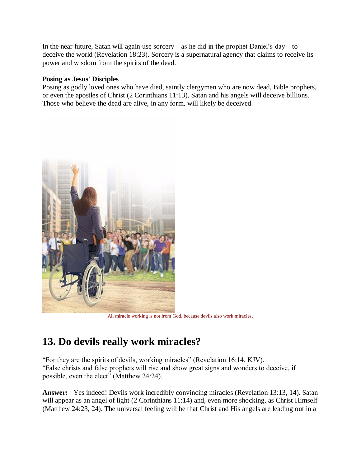In the near future, Satan will again use sorcery—as he did in the prophet Daniel's day—to deceive the world (Revelation 18:23). Sorcery is a supernatural agency that claims to receive its power and wisdom from the spirits of the dead.

### **Posing as Jesus' Disciples**

Posing as godly loved ones who have died, saintly clergymen who are now dead, Bible prophets, or even the apostles of Christ (2 Corinthians 11:13), Satan and his angels will deceive billions. Those who believe the dead are alive, in any form, will likely be deceived.



All miracle working is not from God, because devils also work miracles.

# **13. Do devils really work miracles?**

"For they are the spirits of devils, working miracles" (Revelation 16:14, KJV). "False christs and false prophets will rise and show great signs and wonders to deceive, if possible, even the elect" (Matthew 24:24).

**Answer:** Yes indeed! Devils work incredibly convincing miracles (Revelation 13:13, 14). Satan will appear as an angel of light (2 Corinthians 11:14) and, even more shocking, as Christ Himself (Matthew 24:23, 24). The universal feeling will be that Christ and His angels are leading out in a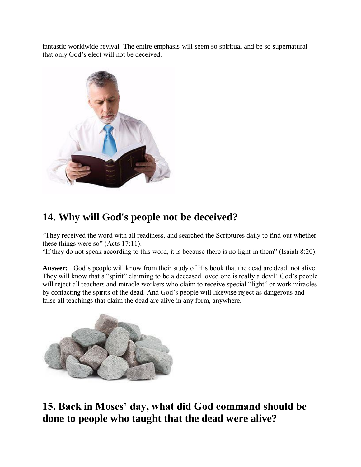fantastic worldwide revival. The entire emphasis will seem so spiritual and be so supernatural that only God's elect will not be deceived.



# **14. Why will God's people not be deceived?**

"They received the word with all readiness, and searched the Scriptures daily to find out whether these things were so" (Acts 17:11).

"If they do not speak according to this word, it is because there is no light in them" (Isaiah 8:20).

**Answer:** God's people will know from their study of His book that the dead are dead, not alive. They will know that a "spirit" claiming to be a deceased loved one is really a devil! God's people will reject all teachers and miracle workers who claim to receive special "light" or work miracles by contacting the spirits of the dead. And God's people will likewise reject as dangerous and false all teachings that claim the dead are alive in any form, anywhere.



**15. Back in Moses' day, what did God command should be done to people who taught that the dead were alive?**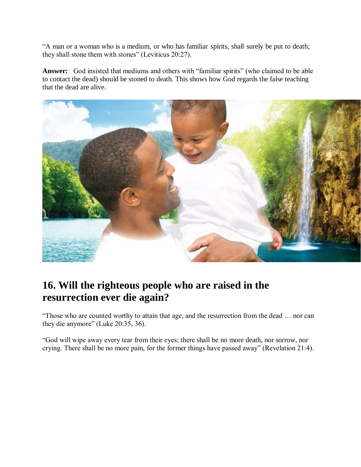"A man or a woman who is a medium, or who has familiar spirits, shall surely be put to death; they shall stone them with stones" (Leviticus 20:27).

**Answer:** God insisted that mediums and others with "familiar spirits" (who claimed to be able to contact the dead) should be stoned to death. This shows how God regards the false teaching that the dead are alive.



# **16. Will the righteous people who are raised in the resurrection ever die again?**

"Those who are counted worthy to attain that age, and the resurrection from the dead … nor can they die anymore" (Luke 20:35, 36).

"God will wipe away every tear from their eyes; there shall be no more death, nor sorrow, nor crying. There shall be no more pain, for the former things have passed away" (Revelation 21:4).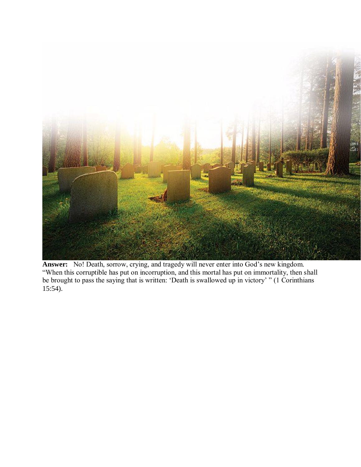

**Answer:** No! Death, sorrow, crying, and tragedy will never enter into God's new kingdom. "When this corruptible has put on incorruption, and this mortal has put on immortality, then shall be brought to pass the saying that is written: 'Death is swallowed up in victory' " (1 Corinthians 15:54).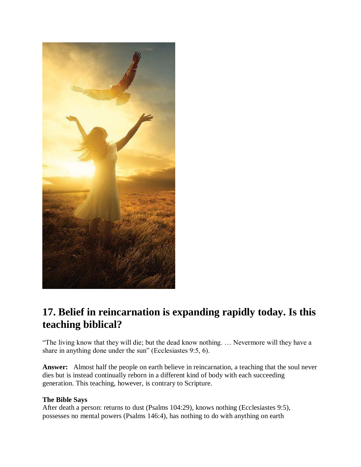

# **17. Belief in reincarnation is expanding rapidly today. Is this teaching biblical?**

"The living know that they will die; but the dead know nothing. … Nevermore will they have a share in anything done under the sun" (Ecclesiastes 9:5, 6).

**Answer:** Almost half the people on earth believe in reincarnation, a teaching that the soul never dies but is instead continually reborn in a different kind of body with each succeeding generation. This teaching, however, is contrary to Scripture.

### **The Bible Says**

After death a person: returns to dust (Psalms 104:29), knows nothing (Ecclesiastes 9:5), possesses no mental powers (Psalms 146:4), has nothing to do with anything on earth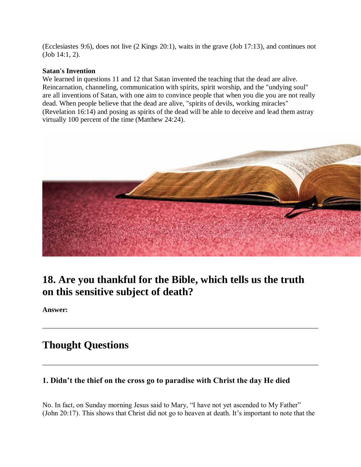(Ecclesiastes 9:6), does not live (2 Kings 20:1), waits in the grave (Job 17:13), and continues not (Job 14:1, 2).

### **Satan's Invention**

We learned in questions 11 and 12 that Satan invented the teaching that the dead are alive. Reincarnation, channeling, communication with spirits, spirit worship, and the "undying soul" are all inventions of Satan, with one aim to convince people that when you die you are not really dead. When people believe that the dead are alive, "spirits of devils, working miracles" (Revelation 16:14) and posing as spirits of the dead will be able to deceive and lead them astray virtually 100 percent of the time (Matthew 24:24).



# **18. Are you thankful for the Bible, which tells us the truth on this sensitive subject of death?**

**Answer:**

### **Thought Questions**

### **1. Didn't the thief on the cross go to paradise with Christ the day He died**

No. In fact, on Sunday morning Jesus said to Mary, "I have not yet ascended to My Father" (John 20:17). This shows that Christ did not go to heaven at death. It's important to note that the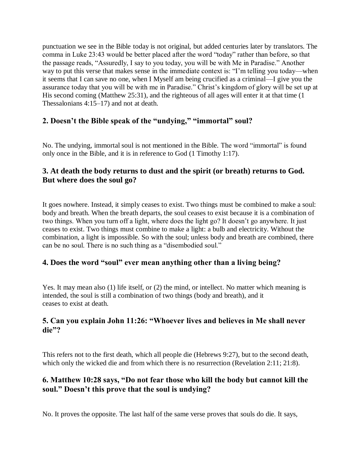punctuation we see in the Bible today is not original, but added centuries later by translators. The comma in Luke 23:43 would be better placed after the word "today" rather than before, so that the passage reads, "Assuredly, I say to you today, you will be with Me in Paradise." Another way to put this verse that makes sense in the immediate context is: "I'm telling you today—when it seems that I can save no one, when I Myself am being crucified as a criminal—I give you the assurance today that you will be with me in Paradise." Christ's kingdom of glory will be set up at His second coming (Matthew 25:31), and the righteous of all ages will enter it at that time (1 Thessalonians 4:15–17) and not at death.

### **2. Doesn't the Bible speak of the "undying," "immortal" soul?**

No. The undying, immortal soul is not mentioned in the Bible. The word "immortal" is found only once in the Bible, and it is in reference to God (1 Timothy 1:17).

### **3. At death the body returns to dust and the spirit (or breath) returns to God. But where does the soul go?**

It goes nowhere. Instead, it simply ceases to exist. Two things must be combined to make a soul: body and breath. When the breath departs, the soul ceases to exist because it is a combination of two things. When you turn off a light, where does the light go? It doesn't go anywhere. It just ceases to exist. Two things must combine to make a light: a bulb and electricity. Without the combination, a light is impossible. So with the soul; unless body and breath are combined, there can be no soul. There is no such thing as a "disembodied soul."

### **4. Does the word "soul" ever mean anything other than a living being?**

Yes. It may mean also (1) life itself, or (2) the mind, or intellect. No matter which meaning is intended, the soul is still a combination of two things (body and breath), and it ceases to exist at death.

### **5. Can you explain John 11:26: "Whoever lives and believes in Me shall never die"?**

This refers not to the first death, which all people die (Hebrews 9:27), but to the second death, which only the wicked die and from which there is no resurrection (Revelation 2:11; 21:8).

### **6. Matthew 10:28 says, "Do not fear those who kill the body but cannot kill the soul." Doesn't this prove that the soul is undying?**

No. It proves the opposite. The last half of the same verse proves that souls do die. It says,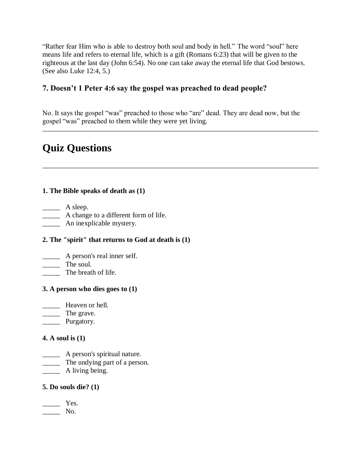"Rather fear Him who is able to destroy both soul and body in hell." The word "soul" here means life and refers to eternal life, which is a gift (Romans 6:23) that will be given to the righteous at the last day (John 6:54). No one can take away the eternal life that God bestows. (See also Luke 12:4, 5.)

### **7. Doesn't 1 Peter 4:6 say the gospel was preached to dead people?**

No. It says the gospel "was" preached to those who "are" dead. They are dead now, but the gospel "was" preached to them while they were yet living.

# **Quiz Questions**

### **1. The Bible speaks of death as (1)**

 $\qquad \qquad$  A sleep.

\_\_\_\_\_ A change to a different form of life.

\_\_\_\_\_ An inexplicable mystery.

### **2. The "spirit" that returns to God at death is (1)**

\_\_\_\_\_ A person's real inner self.

The soul.

The breath of life.

### **3. A person who dies goes to (1)**

\_\_\_\_\_ Heaven or hell.

\_\_\_\_\_ The grave.

Purgatory.

### **4. A soul is (1)**

\_\_\_\_\_ A person's spiritual nature.

\_\_\_\_\_ The undying part of a person.

\_\_\_\_\_ A living being.

### **5. Do souls die? (1)**

 $\overline{\phantom{a}}$  Yes.  $\_\_\_\$  No.